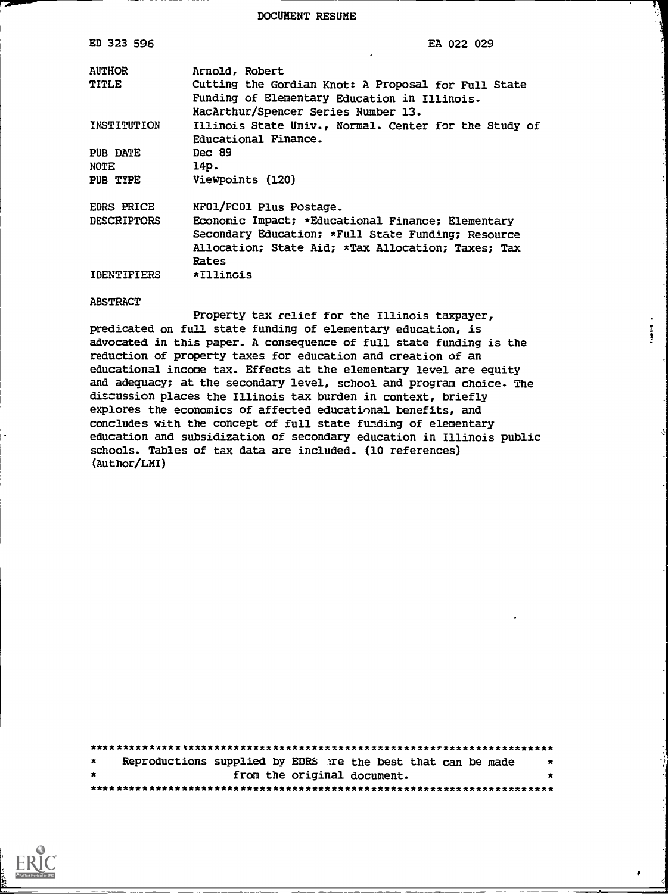DOCUMENT RESUME

| ED 323 596             | EA 022 029                                                                                                                                                             |
|------------------------|------------------------------------------------------------------------------------------------------------------------------------------------------------------------|
| <b>AUTHOR</b><br>TITLE | Arnold, Robert<br>Cutting the Gordian Knot: A Proposal for Full State                                                                                                  |
|                        | Funding of Elementary Education in Illinois.<br>MacArthur/Spencer Series Number 13.                                                                                    |
| INSTITUTION            | Illinois State Univ., Normal. Center for the Study of<br>Educational Finance.                                                                                          |
| PUB DATE               | Dec $89$                                                                                                                                                               |
| NOTE.                  | 14p.                                                                                                                                                                   |
| PUB TYPE               | Viewpoints (120)                                                                                                                                                       |
| EDRS PRICE             | MF01/PC01 Plus Postage.                                                                                                                                                |
| <b>DESCRIPTORS</b>     | Economic Impact; *Educational Finance; Elementary<br>Secondary Education; *Full State Funding; Resource<br>Allocation; State Aid; *Tax Allocation; Taxes; Tax<br>Rates |
| IDENTIFIERS            | *Illincis                                                                                                                                                              |

#### **ABSTRACT**

Property tax relief for the Illinois taxpayer, predicated on full state funding of elementary education, is advocated in this paper. A consequence of full state funding is the reduction of property taxes for education and creation of an educational income tax. Effects at the elementary level are equity and adequacy; at the secondary level, school and program choice. The discussion places the Illinois tax burden in context, briefly explores the economics of affected educational benefits, and concludes with the concept of full state funding of elementary education and subsidization of secondary education in Illinois public schools. Tables of tax data are included. (10 references) (Author/LMI)

 $\frac{1}{2}$ 

| $\star$ | Reproductions supplied by EDRS are the best that can be made |                             |  |  |  |  |  |  |  | $\star$ |
|---------|--------------------------------------------------------------|-----------------------------|--|--|--|--|--|--|--|---------|
| $\star$ |                                                              | from the original document. |  |  |  |  |  |  |  | $\star$ |
|         |                                                              |                             |  |  |  |  |  |  |  |         |

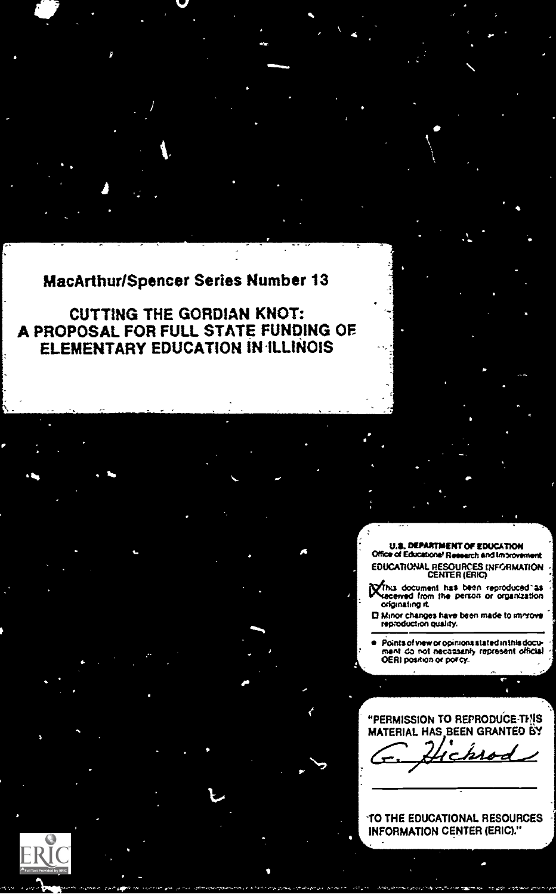## **MacArthur/Spencer Series Number 13**

**CUTTING THE GORDIAN KNOT:** A PROPOSAL FOR FULL STATE FUNDING OF ELEMENTARY EDUCATION IN ILLINOIS

> **U.S. DEPARTMENT OF EDUCATION** Office of Educational Research and Improvement EDUCATIONAL RESOURCES INFORMATION<br>CENTER (ERIC)

Minis document has been reproduced as<br>Miscenved from the person or organization originating it.

El Minor changes have been made to immove

Points of view or opinions stated in this docu-۰ ment do not necassarily represent official

"PERMISSION TO REPRODUCE THIS MATERIAL HAS BEEN GRANTED BY

TO THE EDUCATIONAL RESOURCES **INFORMATION CENTER (ERIC)."** 

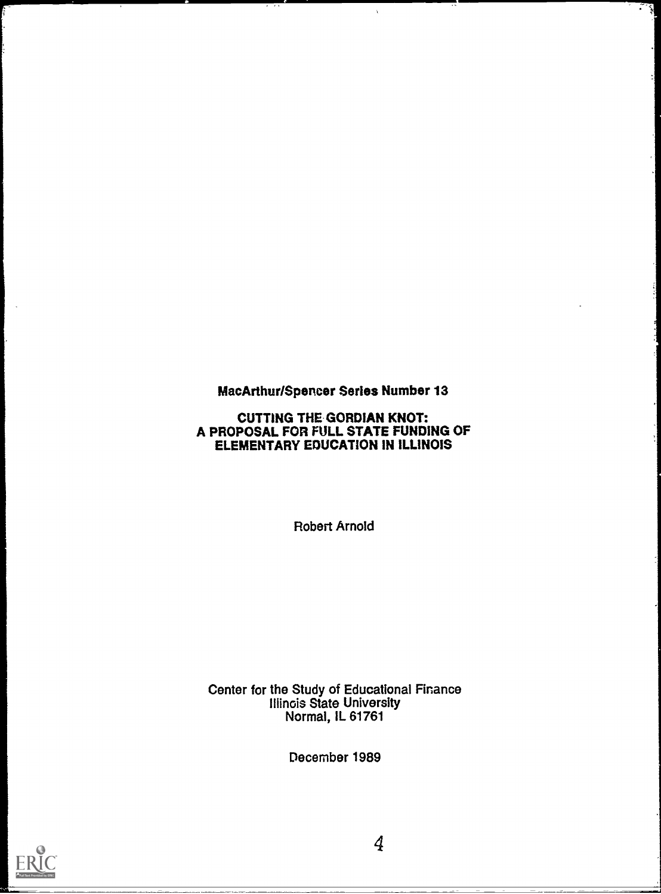# MacArthur/Spencer Series Number 13

 $\lambda$ 

쉋

## CUTTING THE GORDIAN KNOT: A PROPOSAL FOR FULL STATE FUNDING OF ELEMENTARY EDUCATION IN ILLINOIS

Robert Arnold

Center for the Study of Educational Finance Illinois State University Normal, IL 61761

December 1989

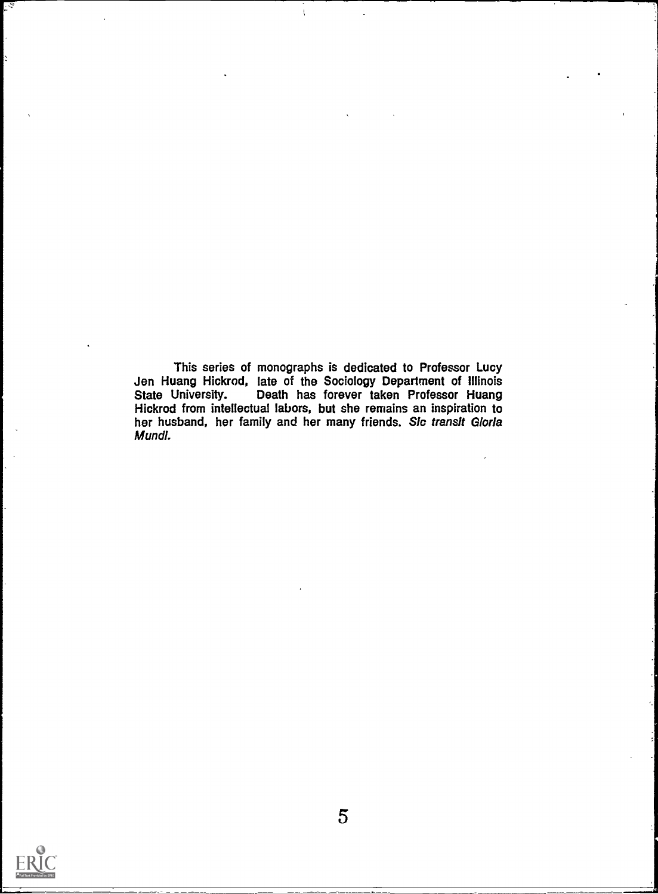This series of monographs is dedicated to Professor Lucy Jen Huang Hickrod, late of the Sociology Department of Illinois State University. Death has forever taken Professor Huang Hickrod from intellectual labors, but she remains an inspiration to her husband, her family and her many friends. Sic transit Gloria Mundl.

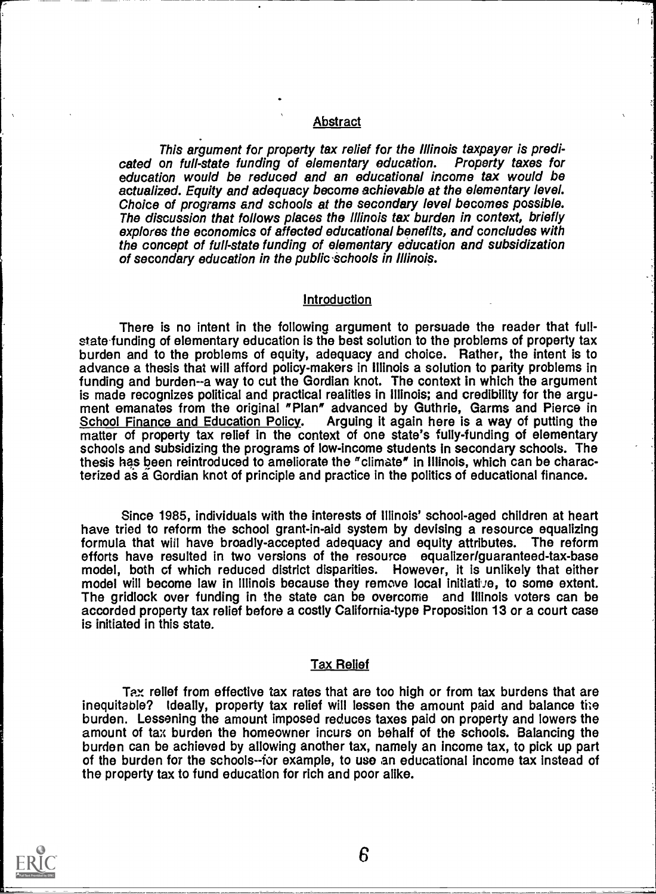## Abstract

This argument for property tax relief for the Illinois taxpayer is predicated on full-state funding of elementary education. education would be reduced and an educational income tax would be actualized. Equity and adequacy become achievable at the elementary level. Choice of programs and schools at the secondary level becomes possible. The discussion that follows places the Illinois tax burden in context, briefly explores the economics of affected educational benefits, and concludes with the concept of full-state funding of elementary education and subsidization of secondary education in the public schools in Illinois.

### **Introduction**

There is no intent in the following argument to persuade the reader that fullstate funding of elementary education is the best solution to the problems of property tax burden and to the problems of equity, adequacy and choice. Rather, the intent is to advance a thesis that will afford policy-makers in Illinois a solution to parity problems in funding and burden-a way to cut the Gordian knot. The context in which the argument is made recognizes political and practical realities in Illinois; and credibility for the argu-<br>ment emanates from the original "Plan" advanced by Guthrie, Garms and Pierce in<br>School Finance and Education Policy. Arguing i Arguing it again here is a way of putting the matter of property tax relief in the context of one state's fully-funding of elementary schools and subsidizing the programs of low-income students In secondary schools. The thesis has been reintroduced to ameliorate the "climate" in Illinois, which can be characterized as a Gordian knot of principle and practice in the politics of educational finance.

Since 1985, individuals with the interests of Illinois' school-aged children at heart have tried to reform the school grant-in-aid system by devising a resource equalizing formula that will have broadly-accepted adequacy and equity attributes. The reform efforts have resulted in two versions of the resource equalizer/guaranteed-tax-base model, both cf which reduced district disparities. However, it is unlikely that either model will become law in Illinois because they remove local initiative, to some extent. The gridlock over funding in the state can be overcome and Illinois voters can be accorded property tax relief before a costly California-type Proposition 13 or a court case is initiated in this state.

### Tax Relief

Tax relief from effective tax rates that are too high or from tax burdens that are inequitable? Ideally, property tax relief will lessen the amount paid and balance the burden. Lessening the amount imposed reduces taxes paid on property and lowers the amount of tax burden the homeowner incurs on behalf of the schools. Balancing the burden can be achieved by allowing another tax, namely an income tax, to pick up part of the burden for the schools--for example, to use an educational income tax instead of the property tax to fund education for rich and poor alike.

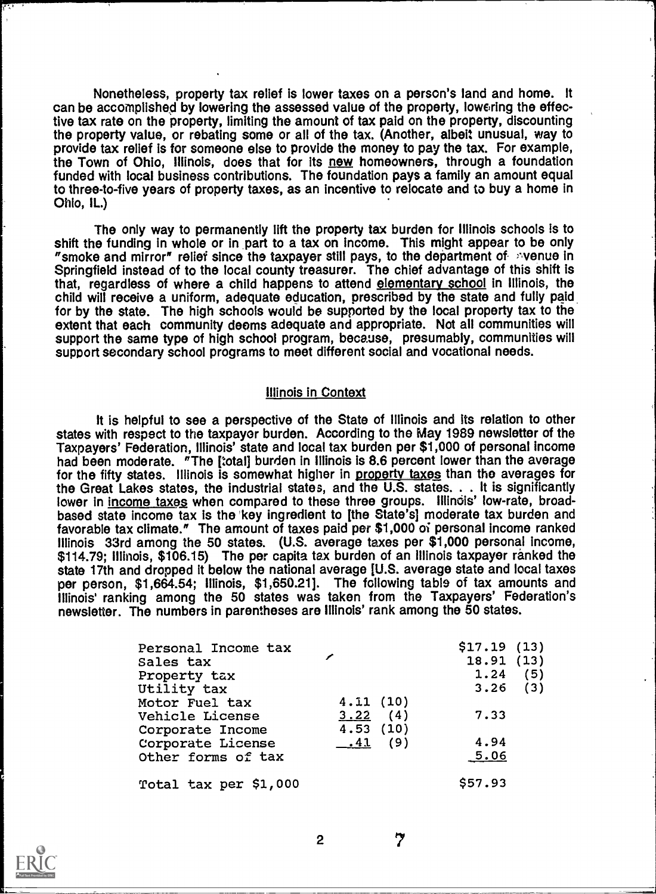Nonetheless, property tax relief is lower taxes on a person's land and home. It can be accomplished by lowering the assessed value of the property, lowering the effective tax rate on the property, limiting the amount of tax paid on the property, discounting the property value, or rebating some or all of the tax. (Another, albeit unusual, way to provide tax relief is for someone else to provide the money to pay the tax. For example, the Town of Ohio, Illinois, does that for its new homeowners, through a foundation funded with local business contributions. The foundation pays a family an amount equal to three-to-five years of property taxes, as an incentive to relocate and to buy a home in Ohio, IL.)

The only way to permanently lift the property tax burden for Illinois schools is to shift the funding in whole or in part to a tax on income. This might appear to be only "smoke and mirror" relief since the taxpayer still pays, to the department of syenue in Springfield instead of to the local county treasurer. The chief advantage of this shift is that, regardless of where a child happens to attend elementary school in Illinois, the child will receive a uniform, adequate education, prescribed by the state and fully paid for by the state. The high schools would be supported by the local property tax to the extent that each community deems adequate and appropriate. Not all communities will support the same type of high school program, because, presumably, communities will support secondary school programs to meet different social and vocational needs.

### Illinois in Context

It is helpful to see a perspective of the State of Illinois and its relation to other states with respect to the taxpayer burden. According to the May 1989 newsletter of the Taxpayers' Federation, Illinois' state and local tax burden per \$1,000 of personal income had been moderate. "The [total] burden in Illinois is 8.6 percent lower than the average for the fifty states. Illinois is somewhat higher in property taxes than the averages for the Great Lakes states, the industrial states, and the U.S. states. . . It is significantly lower in income taxes when compared to these three groups. Illinois' low-rate, broadbased state income tax is the 'key ingredient to [the State's] moderate tax burden and favorable tax climate." The amount of taxes paid per \$1,000 oi personal income ranked Illinois 33rd among the 50 states. (U.S. average taxes per \$1,000 personal income, \$114.79; Illinois, \$106.15) The per capita tax burden of an Illinois taxpayer ranked the state 17th and dropped it below the national average [U.S. average state and local taxes per person, \$1,664.54; Illinois, \$1,650.21]. The following table of tax amounts and Illinois' ranking among the 50 states was taken from the Taxpayers' Federation's newsletter. The numbers in parentheses are Illinois' rank among the 50 states.

| Personal Income tax   |           | $$17.19$ $(13)$ |
|-----------------------|-----------|-----------------|
| Sales tax             |           | 18.91(13)       |
| Property tax          |           | 1.24<br>(5)     |
| Utility tax           |           | $3.26$ (3)      |
| Motor Fuel tax        | 4.11(10)  |                 |
| Vehicle License       | 3.22(4)   | 7.33            |
| Corporate Income      | 4.53(10)  |                 |
| Corporate License     | $-41$ (9) | 4.94            |
| Other forms of tax    |           | 5.06            |
| Total tax per \$1,000 |           | \$57.93         |

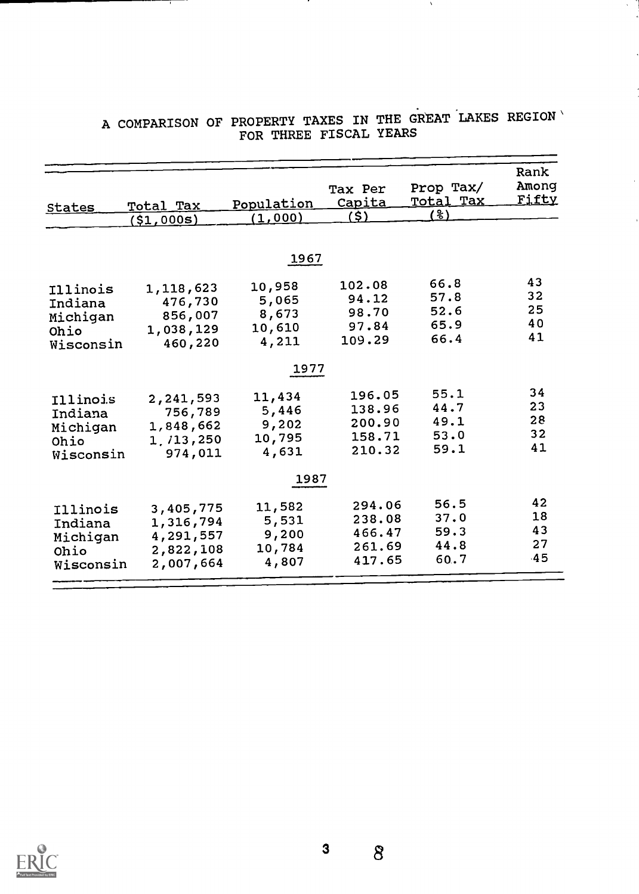|                  |               |                       | Tax Per<br>Capita | Prop Tax/<br>Total Tax | Rank<br>Among<br><u>Fifty</u> |
|------------------|---------------|-----------------------|-------------------|------------------------|-------------------------------|
| <b>States</b>    | Total Tax     | Population<br>(1,000) | (\$)              | (%)                    |                               |
|                  | $($ \$1,000s) |                       |                   |                        |                               |
|                  |               |                       |                   |                        |                               |
|                  |               | 1967                  |                   |                        |                               |
|                  | 1,118,623     | 10,958                | 102.08            | 66.8                   | 43                            |
| Illinois         | 476,730       | 5,065                 | 94.12             | 57.8                   | 32                            |
| Indiana          | 856,007       | 8,673                 | 98.70             | 52.6                   | 25                            |
| Michigan<br>Ohio | 1,038,129     | 10,610                | 97.84             | 65.9                   | 40                            |
| Wisconsin        | 460,220       | 4,211                 | 109.29            | 66.4                   | 41                            |
|                  |               |                       |                   |                        |                               |
|                  |               | 1977                  |                   |                        |                               |
| Illinois         | 2,241,593     | 11,434                | 196.05            | 55.1                   | 34                            |
| Indiana          | 756,789       | 5,446                 | 138.96            | 44.7                   | 23                            |
| Michigan         | 1,848,662     | 9,202                 | 200.90            | 49.1                   | 28                            |
| Ohio             | 1, 713, 250   | 10,795                | 158.71            | 53.0                   | 32                            |
| Wisconsin        | 974,011       | 4,631                 | 210.32            | 59.1                   | 41                            |
|                  |               | 1987                  |                   |                        |                               |
|                  |               |                       |                   |                        |                               |
| Illinois         | 3,405,775     | 11,582                | 294.06            | 56.5                   | 42                            |
| Indiana          | 1,316,794     | 5,531                 | 238.08            | 37.0                   | 18                            |
| Michigan         | 4,291,557     | 9,200                 | 466.47            | 59.3                   | 43                            |
| Ohio             | 2,822,108     | 10,784                | 261.69            | 44.8                   | 27                            |
| Wisconsin        | 2,007,664     | 4,807                 | 417.65            | 60.7                   | 45                            |

## A COMPARISON OF PROPERTY TAXES IN THE GREAT LAKES REGION' FOR THREE FISCAL YEARS

 $\Delta$ 



 $\delta$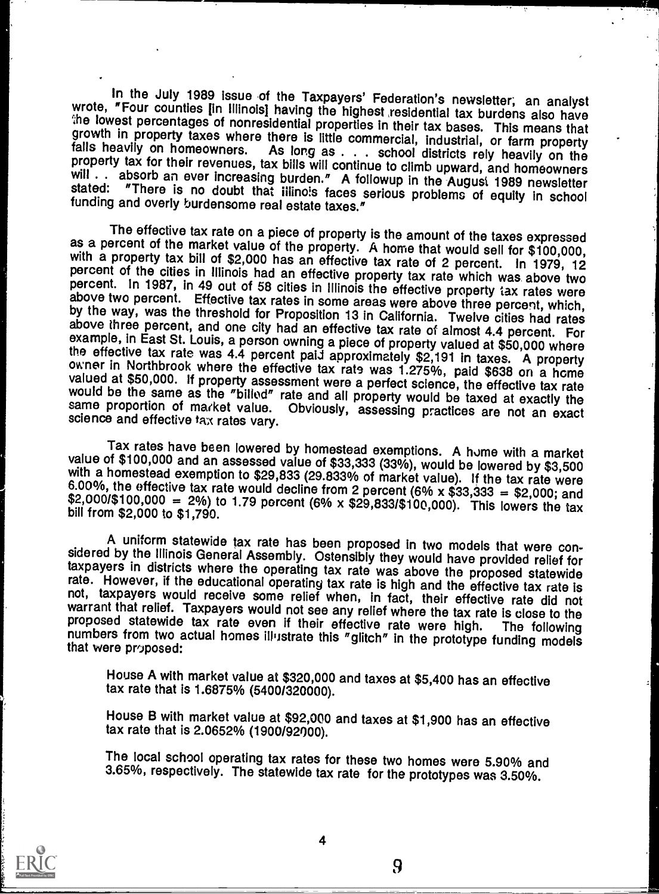In the July 1989 issue of the Taxpayers' Federation's newsletter; an analyst<br>wrote, "Four counties [in Illinois] having the highest residential tax burdens also have<br>the lowest percentages of nonresidential properties in t

The effective tax rate on a piece of property is the amount of the taxes expressed<br>as a percent of the market value of the property. A home that would sell for \$100,000,<br>with a property tax bill of \$2,000 has an effective

Tax rates have been lowered by homestead exemptions. A home with a market value of \$100,000 and an assessed value of \$33,333 (33%), would be lowered by \$3,500 with a homestead exemption to \$29,833 (29.833% of market value

A uniform statewide tax rate has been proposed in two models that were considered by the Illinois General Assembly. Ostensibly they would have provided relief for taxpayers in districts where the operating tax rate was abo

House A with market value at \$320,000 and taxes at \$5,400 has an effective tax rate that is 1.6875% (5400/320000).

House B with market value at \$92,000 and taxes at \$1,900 has an effective tax rate that is 2.0652% (1900/92000).

The local school operating tax rates for these two homes were 5.90% and 3.65%, respectively. The statewide tax rate for the prototypes was 3.50%.

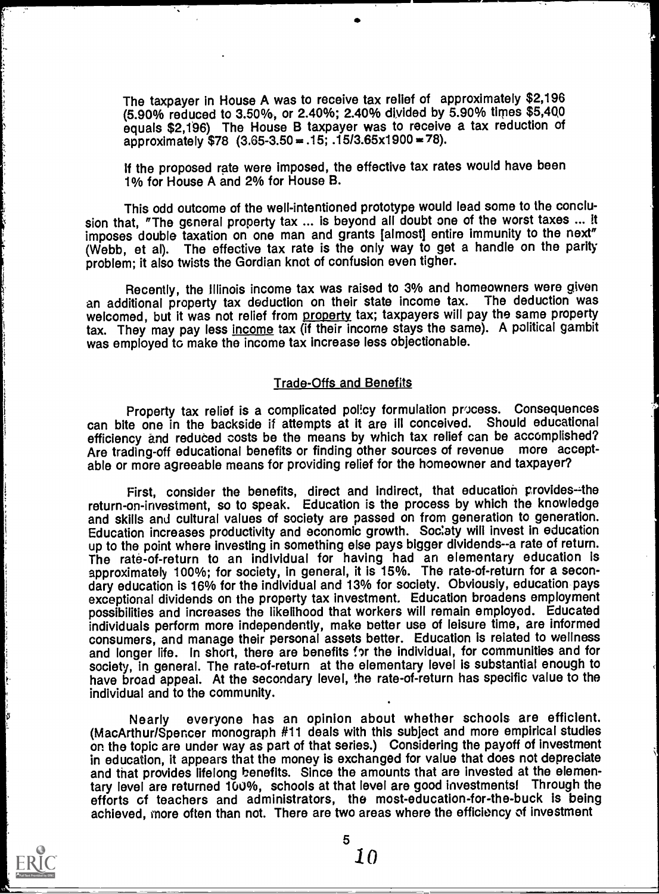The taxpayer in House A was to receive tax relief of approximately \$2,196 (5.90% reduced to 3.50%, or 2.40%; 2.40% divided by 5.90% times \$5,460 equals \$2,1'96) The House B taxpayer was to receive a tax reduction of approximately  $$78$  (3.65-3.50 = .15; .15/3.65x1900 = 78).

If the proposed rate were imposed, the effective tax rates would have been 1% for House A and 2% for House B.

This odd outcome of the well-intentioned prototype would lead some to the conclusion that, "The general property tax ... is beyond all doubt one of the worst taxes ... It imposes double taxation on one man and grants [almost] entire immunity to the next" (Webb, et al). The effective tax rate is the only way to get a handle on the parity problem; it also twists the Gordian knot of confusion even tigher.

Recently, the Illinois income tax was raised to 3% and homeowners were given<br>ditional property tax deduction on their state income tax. The deduction was an additional property tax deduction on their state income tax. welcomed, but it was not relief from property tax; taxpayers will pay the same property tax. They may pay less income tax (if their income stays the same). A political gambit was employed to make the income tax increase less objectionable.

### Trade-Offs and Benefits

Property tax relief is a complicated policy formulation process. Consequences can bite one in the backside if attempts at it are ill conceived. Should educational efficiency and reduced costs be the means by which tax relief can be accomplished? Are trading-off educational benefits or finding other sources of revenue more acceptable or more agreeable means for providing relief for the homeowner and taxpayer?

First, consider the benefits, direct and indirect, that education provides--the return-on-investment, so to speak. Education is the process by which the knowledge and skills and cultural values of society are passed on from generation to generation. Education increases productivity and economic growth. Society will invest in education up to the point where investing in something else pays bigger dividends--a rate of return. The rate-of-return to an individual for having had an elementary education is approximately 100%; for society, in general, it is 15%. The rate-of-return for a secondary education is 16% for the individual and 13% for society. Obviously, education pays exceptional dividends on the property tax investment. Education broadens employment possibilities and increases the likelihood that workers will remain employed. Educated individuals perform more independently, make better use of leisure time, are informed consumers, and manage their personal assets better. Education is related to wellness and longer life. In short, there are benefits for the individual, for communities and for society, in general. The rate-of-return at the elementary level is substantial enough to have broad appeal. At the secondary level, the rate-of-return has specific value to the individual and to the community.

Nearly everyone has an opinion about whether schools are efficient. (MacArthur/Spencer monograph #11 deals with this subject and more empirical studies on the topic are under way as part of that series.) Considering the payoff of investment in education, it appears that the money is exchanged for value that does not depreciate and that provides lifelong benefits. Since the amounts that are invested at the elementary level are returned 100%, schools at that level are good investments! Through the efforts of teachers and administrators, the most-education-for-the-buck is being achieved, more often than not. There are two areas where the efficiency of investment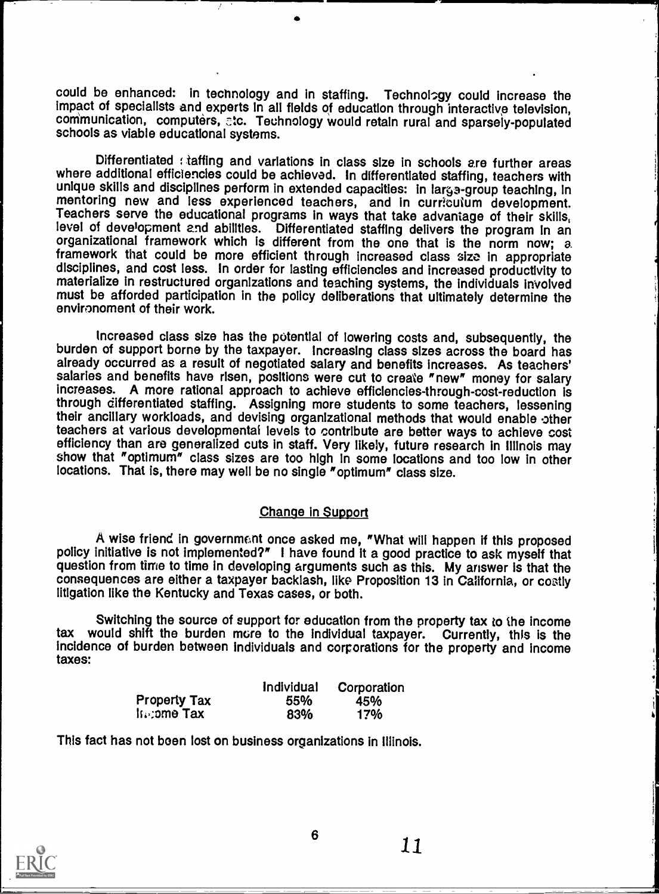could be enhanced: in technology and in staffing. Technology could increase the impact of specialists and experts in all fields of education through interactive television, communication, computers, etc. Technology would retain rural and sparsely-populated schools as viable educational systems.

Differentiated : taffing and variations in class size in schools are further areas where additional efficiencies could be achieved. In differentiated staffing, teachers with unique skills and disciplines perform in extended capacities: in large-group teaching, in mentoring new and less experienced teachers, and in curriculum development. Teachers serve the educational programs in ways that take advantage of their skills, level of development and abilities. Differentiated staffing delivers the program in an level of development and abilities. Differentiated states the program in an organizational framework which is different from the one that is the norm now; a framework that could be more efficient through increased class sizo in appropriate disciplines, and cost less. In order for lasting efficiencies and increased productivity to materialize in restructured organizations and teaching systems, the individuals involved must be afforded participation in the policy deliberations that ultimately determine the environoment of their work.

t

Increased class size has the potential of lowering costs and, subsequently, the burden of support borne by the taxpayer. Increasing class sizes across the board has burden of support borne by the taxpayer. Increasing class increases. As teachers' salaries and benefits have risen, positions were cut to create "new" money for salary increases. A more rational approach to achieve efficiencies-through-cost-reduction is through differentiated staffing. Assigning more students to some teachers, lessening their ancillary workloads, and devising organizational methods that would enable other<br>teachers at various developmental levels to contribute are better wavs to achieve cost efficiency than are generalized cuts in staff. Very likely, future research in illinois may show that "optimum" class sizes are too high in some locations and too low in other locations. That is, there may well be no single "optimum" class size.

## Change in Support

A wise friend in government once asked me, "What will happen if this proposed policy initiative is not implemented?" I have found it a good practice to ask myself that question from time to time in developing arguments such as this. My answer is that the consequences are either a taxpayer backlash, like Proposition 13 in California, or costly litigation like the Kentucky and Texas cases, or both.

Switching the source of support for education from the property tax to the income tax would shift the burden mere to the individual taxpayer. Currently, this is the incidence of burden between individuals and corporations for the property and income taxes:

|                           | Individual | Corporation |  |
|---------------------------|------------|-------------|--|
| <b>Property Tax</b>       | 55%        | 45%         |  |
| $\ln$ : $\sin \theta$ Tax | 83%        | 17%         |  |

This fact has not boen lost on business organizations in Illinois.

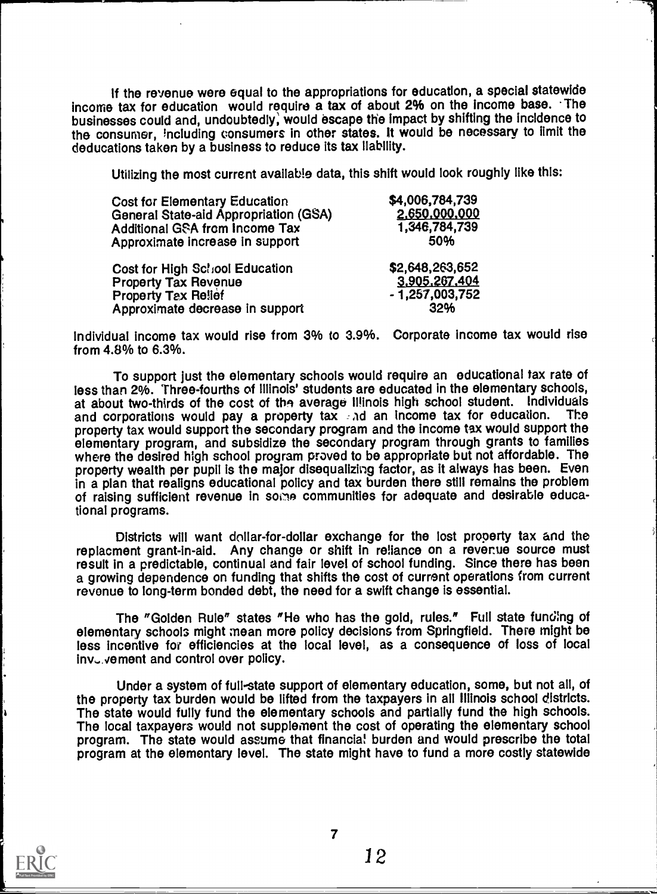If the revenue were equal to the appropriations for education, a special statewide income tax for education would require a tax of about 2% on the income base. The businesses could and, undoubtedly, would escape the impact by shifting the incidence to the consumer, lncluding consumers in other states. It would be necessary to limit the deducations taken by a business to reduce its tax liability.

Utilizing the most current available data, this shift would look roughly like this:

| <b>Cost for Elementary Education</b>  | \$4,006,784,739  |  |
|---------------------------------------|------------------|--|
| General State-aid Appropriation (GSA) | 2,650,000,000    |  |
| <b>Additional GSA from Income Tax</b> | 1,346,784,739    |  |
| Approximate increase in support       | 50%              |  |
| Cost for High School Education        | \$2,648,263,652  |  |
| <b>Property Tax Revenue</b>           | 3,905,267,404    |  |
| <b>Property Tax Relief</b>            | $-1,257,003,752$ |  |
| Approximate decrease in support       | 32%              |  |

Individual income tax would rise from 3% to 3.9%.  $\,$  Corporate income tax would rise  $\,$ from 4.8% to 6.3%.

To support just the elementary schools would require an educational tax rate of less than 2%. Three-fourths of Illinois' students are educated in the elementary schools, at about two-thirds of the cost of the average Illinois high school student. Individuals<br>and corporations would nay a property tax and an income tax for education. The and corporations would pay a property tax and an income tax for education. property tax would support the secondary program and the income tax would support the elementary program, and subsidize the secondary program through grants to families where the desired high school program proved to be appropriate but not affordable. The property wealth per pupil is the major disequalizing factor, as it always has been. Even in a plan that realigns educational policy and tax burden there still remains the problem of raising sufficient revenue in some communities for adequate and desirable educational programs.

Districts will want dollar-for-dollar exchange for the lost property tax and the repiacment grant-in-aid. Any change or shift in reliance on a reverue source must result in a predictable, continual and fair level of school funding. Since there has been a growing dependence on funding that shifts the cost of current operations from current revenue to long-term bonded debt, the need for a swift change is essential.

The "Golden Rule" states "He who has the gold, rules." Full state funding of elementary schools might mean more policy decisions from Springfield. There might be less incentive for efficiencies at the local level, as a consequence of loss of local  $inv_{\sigma}$ , vement and control over policy.

Under a system of full-state support of elementary education, some, but not all, of the property tax burden would be lifted from the taxpayers in all Illinois school districts. The state would fully fund the elementary schools and partially fund the high schools. The local taxpayers would not supplement the cost of operating the elementary school program. The state would assume that financial burden and would prescribe the total program at the elementary level. The state might have to fund a more costly statewide

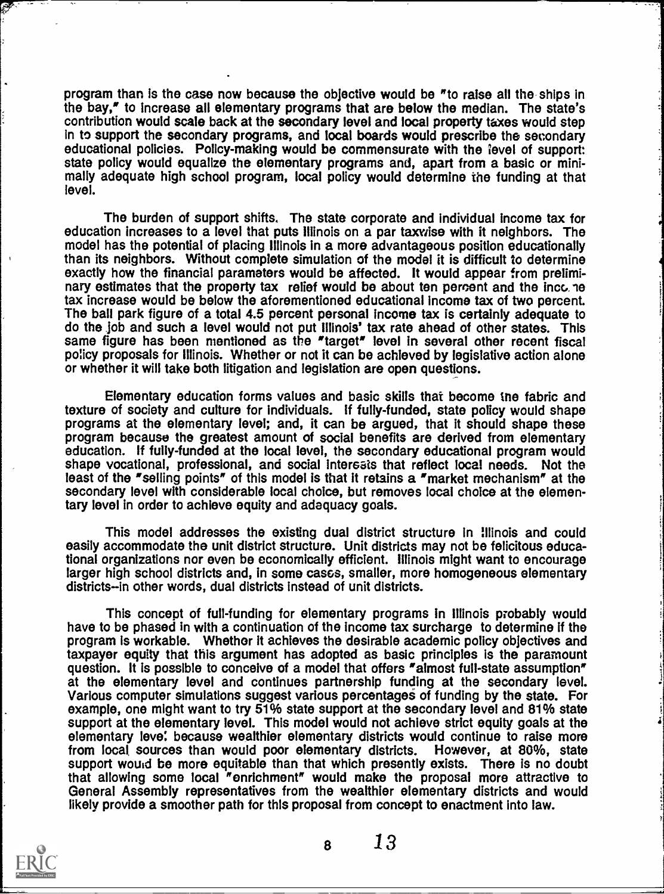program than is the case now because the objective would be "to raise all the ships in the bay," to increase all elementary programs that are below the median. The state's contribution would scale back at the secondary level and local property taxes would step in to support the secondary programs, and local boards would prescribe the secondary educational policies. Policy-making would be commensurate with the ievel of support: state policy would equalize the elementary programs and, apart from a basic or minimally adequate high school program, local policy would determine the funding at that level.

The burden of support shifts. The state corporate and individual income tax for education increases to a level that puts Illinois on a par taxwise with it neighbors. The model has the potential of placing Illinois in a more advantageous position educationally than its neighbors. Without complete simulation of the model it is difficult to determine exactly how the financial parameters would be affected. It would appear from preliminary estimates that the property tax relief would be about ten percent and the incc. te tax increase would be below the aforementioned educational income tax of two percent. The ball park figure of a total 4.5 percent personal income tax is certainly adequate to do the job and such a level would not put Illinois' tax rate ahead of other states. This same figure has been mentioned as the "target" level in several other recent fiscal policy proposals for Illinois. Whether or not it can be achieved by legislative action alone or whether it will take both litigation and legislation are open questions.

Elementary education forms values and basic skills that become the fabric and texture of society and culture for individuals. If fully-funded, state policy would shape programs at the elementary level; and, it can be argued, that it should shape these program because the greatest amount of social benefits are derived from elementary education. If fully-funded at the local level, the secondary educational program would shape vocational, professional, and social intersais that reflect local needs. Not the least of the "selling points" of this model is that it retains a "market mechanism" at the secondary level with considerable local choice, but removes local choice at the elementary level in order to achieve equity and adequacy goals.

This model addresses the existing dual district structure in Illinois and could easily accommodate the unit district structure. Unit districts may not be felicitous educational organizations nor even be economically efficient. Illinois might want to encourage larger high school districts and, in some cases, smaller, more homogeneous elementary districts-in other words, dual districts instead of unit districts.

This concept of full-funding for elementary programs in Illinois probably would have to be phased in with a continuation of the income tax surcharge to determine if the program is workable. Whethor it achieves the desirable academic policy objectives and taxpayer equity that this argument has adopted as basic principles is the paramount question. It is possible to conceive of a model that offers "almost full-state assumption" at the elementary level and continues partnership funding at the secondary level. Various computer simulations suggest various percentages of funding by the state. For example, one might want to try 51% state support at the secondary level and 81% state support at the elementary level. This model would not achieve strict equity goals at the elementary level because wealthier elementary districts would continue to raise more from local sources than would poor elementary districts. However, at 80%, state support would be more equitable than that which presently exists. There is no doubt that allowing some local "enrichment" would make the proposal more attractive to General Assembly representatives from the wealthier elementary districts and would likely provide a smoother path for thls proposal from concept to enactment into law.

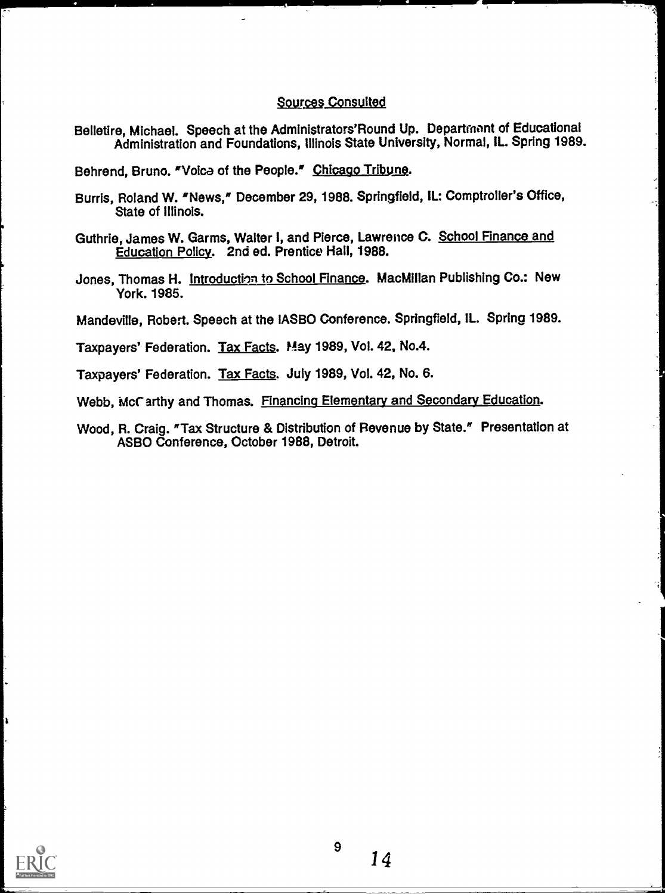## Sources Consulted

Belletire, Michael. Speech at the Administrators'Round Up. Departrnont of Educational Administration and Foundations, Illinois State University, Normal, IL. Spring 1989.

Behrend, Bruno. "Voice of the People." Chicago Tribune.

- Burris, Roland W. 'News? December 29, 1988. Springfield, IL: Comptroller's Office, State of Illinois.
- Guthrie, James W. Garms, Walter I, and Pierce, Lawrence C. School Finance and Education Policy. 2nd ed. Prentice Hall, 1988.
- Jones, Thomas H. Introduction to School Finance. MacMillan Publishing Co.: New York. 1985.

Mandeville, Robert. Speech at the IASBO Conference. Springfield, IL. Spring 1989.

Taxpayers' Federation. Tax Facts. Play 1989, Vol. 42, No.4.

Taxpayers' Federation. Tax Facts. July 1989, Vol. 42, No. 6.

Webb, McCarthy and Thomas. Financing Elementary and Secondary Education.

Wood, R. Craig. 'Tax Structure & Distribution of Revenue by State." Presentation at ASBO Conference, October 1988, Detroit.